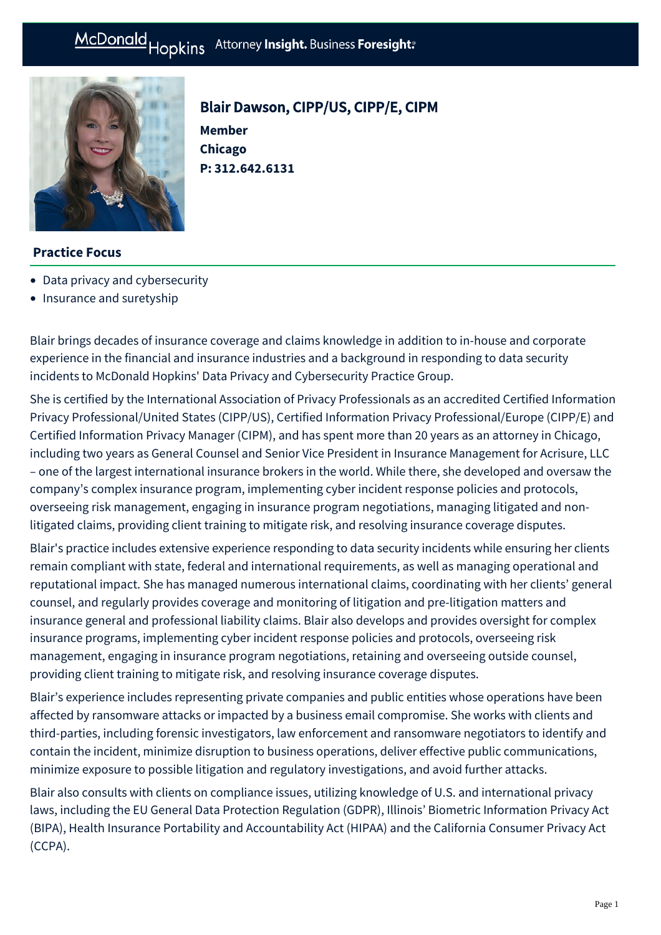**P: [312.642.6131](tel:312.642.6131)**



# Blair Dawson, CIPP/US, CIPP/E, CIPM **Member Chicago**

## **Practice Focus**

- [Data privacy and cybersecurity](https://mcdonaldhopkins.com/Expertise/Data-privacy-and-cybersecurity)
- [Insurance and suretyship](https://mcdonaldhopkins.com/Expertise/Litigation/Insurance-and-suretyship)

Blair brings decades of insurance coverage and claims knowledge in addition to in-house and corporate experience in the financial and insurance industries and a background in responding to data security incidents to McDonald Hopkins' Data Privacy and Cybersecurity Practice Group.

She is certified by the International Association of Privacy Professionals as an accredited Certified Information Privacy Professional/United States (CIPP/US), Certified Information Privacy Professional/Europe (CIPP/E) and Certified Information Privacy Manager (CIPM), and has spent more than 20 years as an attorney in Chicago, including two years as General Counsel and Senior Vice President in Insurance Management for Acrisure, LLC – one of the largest international insurance brokers in the world. While there, she developed and oversaw the company's complex insurance program, implementing cyber incident response policies and protocols, overseeing risk management, engaging in insurance program negotiations, managing litigated and nonlitigated claims, providing client training to mitigate risk, and resolving insurance coverage disputes.

Blair's practice includes extensive experience responding to data security incidents while ensuring her clients remain compliant with state, federal and international requirements, as well as managing operational and reputational impact. She has managed numerous international claims, coordinating with her clients' general counsel, and regularly provides coverage and monitoring of litigation and pre-litigation matters and insurance general and professional liability claims. Blair also develops and provides oversight for complex insurance programs, implementing cyber incident response policies and protocols, overseeing risk management, engaging in insurance program negotiations, retaining and overseeing outside counsel, providing client training to mitigate risk, and resolving insurance coverage disputes.

Blair's experience includes representing private companies and public entities whose operations have been affected by ransomware attacks or impacted by a business email compromise. She works with clients and third-parties, including forensic investigators, law enforcement and ransomware negotiators to identify and contain the incident, minimize disruption to business operations, deliver effective public communications, minimize exposure to possible litigation and regulatory investigations, and avoid further attacks.

Blair also consults with clients on compliance issues, utilizing knowledge of U.S. and international privacy laws, including the EU General Data Protection Regulation (GDPR), Illinois' Biometric Information Privacy Act (BIPA), Health Insurance Portability and Accountability Act (HIPAA) and the California Consumer Privacy Act (CCPA).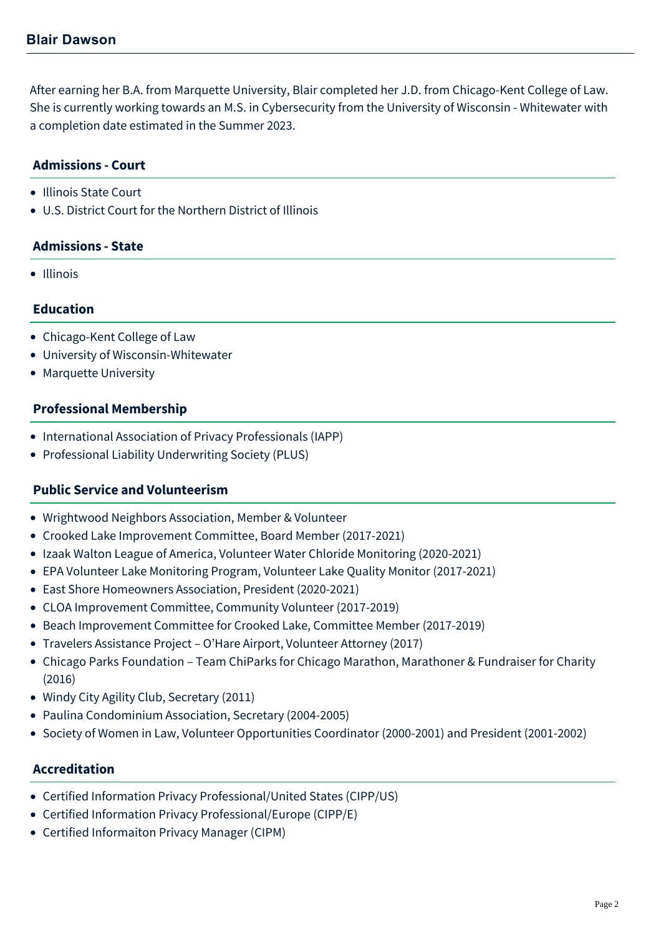After earning her B.A. from Marquette University, Blair completed her J.D. from Chicago-Kent College of Law. She is currently working towards an M.S. in Cybersecurity from the University of Wisconsin - Whitewater with a completion date estimated in the Summer 2023.

# **Admissions - Court**

- Illinois State Court
- U.S. District Court for the Northern District of Illinois

#### **Admissions - State**

• Illinois

#### **Education**

- Chicago-Kent College of Law
- University of Wisconsin-Whitewater
- Marquette University

#### **Professional Membership**

- International Association of Privacy Professionals (IAPP)
- Professional Liability Underwriting Society (PLUS)

#### **Public Service and Volunteerism**

- Wrightwood Neighbors Association, Member & Volunteer
- Crooked Lake Improvement Committee, Board Member (2017-2021)
- Izaak Walton League of America, Volunteer Water Chloride Monitoring (2020-2021)
- EPA Volunteer Lake Monitoring Program, Volunteer Lake Quality Monitor (2017-2021)
- East Shore Homeowners Association, President (2020-2021)
- CLOA Improvement Committee, Community Volunteer (2017-2019)
- Beach Improvement Committee for Crooked Lake, Committee Member (2017-2019)
- Travelers Assistance Project O'Hare Airport, Volunteer Attorney (2017)
- Chicago Parks Foundation Team ChiParks for Chicago Marathon, Marathoner & Fundraiser for Charity (2016)
- Windy City Agility Club, Secretary (2011)
- Paulina Condominium Association, Secretary (2004-2005)
- Society of Women in Law, Volunteer Opportunities Coordinator (2000-2001) and President (2001-2002)

#### **Accreditation**

- Certified Information Privacy Professional/United States (CIPP/US)
- Certified Information Privacy Professional/Europe (CIPP/E)
- Certified Informaiton Privacy Manager (CIPM)